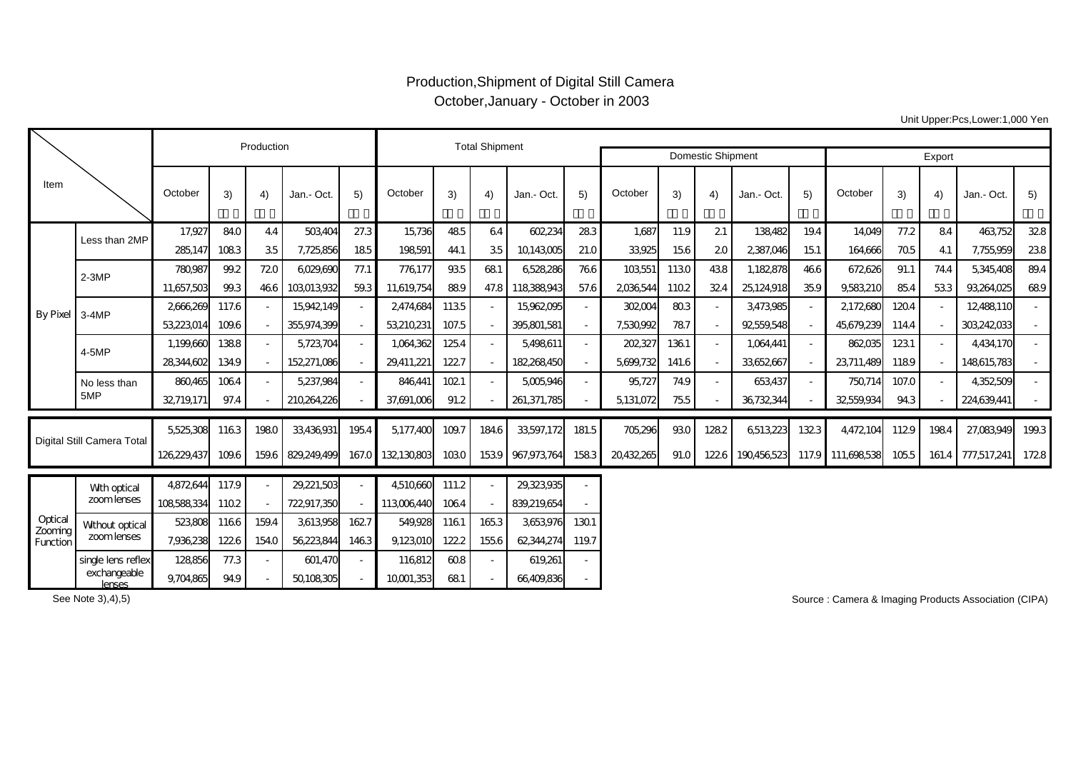## Production,Shipment of Digital Still Camera October,January - October in 2003

Unit Upper:Pcs,Lower:1,000 Yen

|                                |                        |             | Production |                | <b>Total Shipment</b> |                          |                 |       |       |             |       |            |       |                          |            |        |                   |       |      |                   |       |
|--------------------------------|------------------------|-------------|------------|----------------|-----------------------|--------------------------|-----------------|-------|-------|-------------|-------|------------|-------|--------------------------|------------|--------|-------------------|-------|------|-------------------|-------|
|                                |                        |             |            |                |                       |                          |                 |       |       |             |       |            |       | <b>Domestic Shipment</b> |            | Export |                   |       |      |                   |       |
| Item                           |                        | October     | 3)         | 4)             | Jan.- Oct.            | 5)                       | October         | 3)    | 4)    | Jan.- Oct.  | 5)    | October    | 3)    | 4)                       | Jan.- Oct. | 5)     | October           | 3)    | 4)   | Jan.- Oct.        | 5)    |
| By Pixel 3-4MP                 | Less than 2MP          | 17,927      | 84.0       | 44             | 503,404               | 27.3                     | 15,736          | 485   | 64    | 602,234     | 283   | 1,687      | 11.9  | 21                       | 138,482    | 19.4   | 14,049            | 77.2  | 84   | 463,752           | 328   |
|                                |                        | 285.147     | 1083       | 35             | 7,725,856             | 185                      | 198591          | 44.1  | 35    | 10143005    | 21.0  | 33,925     | 156   | 20                       | 2387,046   | 151    | 164,666           | 705   | 41   | 7,755,959         | 238   |
|                                | $2-3MP$                | 780,987     | 99.2       | 720            | 6029,690              | 77.1                     | 776177          | 935   | 681   | 6528286     | 766   | 103,551    | 1130  | 438                      | 1,182,878  | 466    | 672626            | 91.1  | 74.4 | 5,345,408         | 89.4  |
|                                |                        | 11,657,503  | 99.3       | 466            | 103013.932            | 59.3                     | 11,619,754      | 889   | 47.8  | 118388943   | 57.6  | 2036544    | 1102  | 324                      | 25,124,918 | 35.9   | 9,583,210         | 85.4  | 533  | 93,264,025        | 689   |
|                                |                        | 2666269     | 117.6      |                | 15,942,149            | $\sim$                   | 2474,684        | 1135  |       | 15,962,095  |       | 302004     | 803   | $\overline{\phantom{a}}$ | 3,473,985  |        | 2172680           | 1204  |      | 12,488,110        |       |
|                                |                        | 53,223,014  | 109.6      |                | 355,974,399           | $\overline{\phantom{a}}$ | 53,210,231      | 107.5 |       | 395,801,581 |       | 7,530,992  | 787   | $\overline{\phantom{a}}$ | 92559,548  |        | 45,679,239        | 114.4 |      | 303,242,033       |       |
|                                | 4-5MP                  | 1,199,660   | 1388       |                | 5,723,704             | $\overline{\phantom{a}}$ | 1,064,362       | 1254  |       | 5,498,611   |       | 202,327    | 1361  | $\overline{\phantom{a}}$ | 1,064,441  |        | 862,035           | 1231  |      | 4,434,170         |       |
|                                |                        | 28344,602   | 134.9      | $\blacksquare$ | 152,271,086           | $\overline{\phantom{a}}$ | 29,411,221      | 1227  |       | 182,268,450 |       | 5,699,732  | 141.6 | $\overline{\phantom{a}}$ | 33,652,667 |        | 23,711,489        | 1189  |      | 148615,783        |       |
|                                | No less than           | 860.465     | 1064       |                | 5,237,984             | $\overline{\phantom{a}}$ | 846.441         | 1021  |       | 5,005,946   |       | 95,727     | 74.9  | $\overline{\phantom{a}}$ | 653,437    |        | 750,714           | 107.0 |      | 4,352,509         |       |
|                                | 5MP                    | 32719,171   | 97.4       |                | 210,264,226           |                          | 37,691,006      | 91.2  |       | 261,371,785 |       | 5,131,072  | 755   |                          | 36,732,344 |        | 32559,934         | 94.3  |      | 224,639,441       |       |
| Digital Still Camera Total     |                        | 5,525,308   | 1163       | 1980           | 33,436,931            | 1954                     | 5,177,400       | 109.7 | 184.6 | 33,597,172  | 181.5 | 705,296    | 930   | 1282                     | 6513,223   | 1323   | 4,472,104         | 1129  | 1984 | 27,083,949        | 199.3 |
|                                |                        | 126,229,437 | 109.6      | 159.6          | 829,249,499           |                          | 167.0 132130803 | 1030  | 1539  | 967,973,764 | 1583  | 20,432,265 | 91.0  | 1226                     | 190456523  |        | 117.9 111,698,538 | 1055  |      | 161.4 777,517,241 | 1728  |
|                                | Wth optical            | 4,872,644   | 117.9      |                | 29,221,503            |                          | 4,510,660       | 111.2 |       | 29,323,935  |       |            |       |                          |            |        |                   |       |      |                   |       |
| Optical<br>Zooming<br>Function | zoom lenses            | 108588334   | 1102       |                | 722,917,350           |                          | 113,006,440     | 1064  |       | 839,219,654 |       |            |       |                          |            |        |                   |       |      |                   |       |
|                                | <b>Without optical</b> | 523,808     | 1166       | 159.4          | 3,613,958             | 1627                     | 549.928         | 1161  | 1653  | 3,653,976   | 1301  |            |       |                          |            |        |                   |       |      |                   |       |
|                                | zoom lenses            | 7,936,238   | 1226       | 154.0          | 56,223,844            | 1463                     | 9,123,010       | 122.2 | 155.6 | 62,344,274  | 119.7 |            |       |                          |            |        |                   |       |      |                   |       |
|                                | single lens reflex     | 128856      | 77.3       |                | 601,470               | $\overline{\phantom{a}}$ | 116812          | 608   |       | 619,261     |       |            |       |                          |            |        |                   |       |      |                   |       |
|                                | exchangeable<br>lenses | 9,704,865   | 94.9       |                | 50,108,305            |                          | 10001,353       | 681   |       | 66,409,836  |       |            |       |                          |            |        |                   |       |      |                   |       |

See Note 3),4),5)

Source : Camera & Imaging Products Association (CIPA)